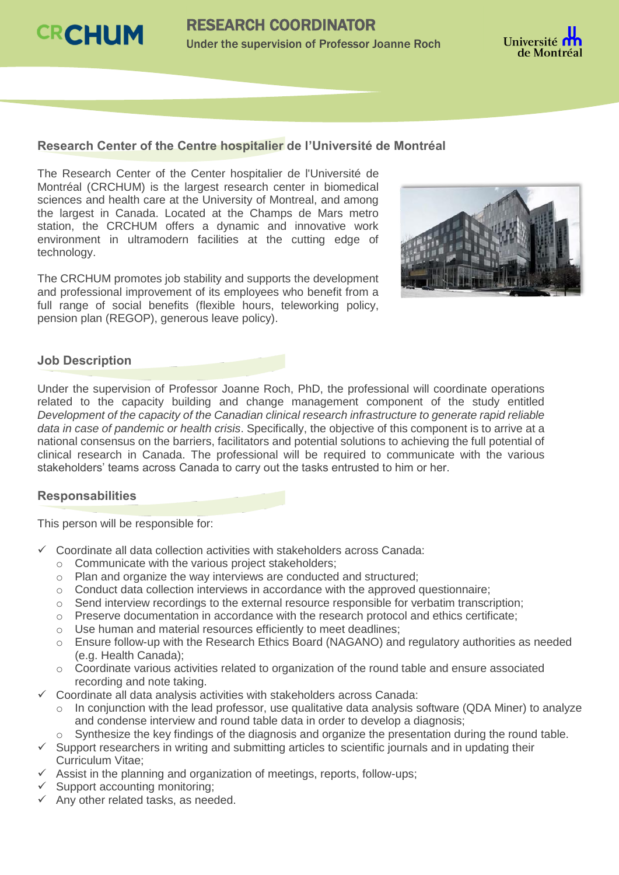



### **Research Center of the Centre hospitalier de l'Université de Montréal**

The Research Center of the Center hospitalier de l'Université de Montréal (CRCHUM) is the largest research center in biomedical sciences and health care at the University of Montreal, and among the largest in Canada. Located at the Champs de Mars metro station, the CRCHUM offers a dynamic and innovative work environment in ultramodern facilities at the cutting edge of technology.

The CRCHUM promotes job stability and supports the development and professional improvement of its employees who benefit from a full range of social benefits (flexible hours, teleworking policy, pension plan (REGOP), generous leave policy).



## **Job Description**

Under the supervision of Professor Joanne Roch, PhD, the professional will coordinate operations related to the capacity building and change management component of the study entitled *Development of the capacity of the Canadian clinical research infrastructure to generate rapid reliable data in case of pandemic or health crisis*. Specifically, the objective of this component is to arrive at a national consensus on the barriers, facilitators and potential solutions to achieving the full potential of clinical research in Canada. The professional will be required to communicate with the various stakeholders' teams across Canada to carry out the tasks entrusted to him or her.

#### **Responsabilities**

This person will be responsible for:

- Coordinate all data collection activities with stakeholders across Canada:
	- o Communicate with the various project stakeholders;
	- o Plan and organize the way interviews are conducted and structured;
	- o Conduct data collection interviews in accordance with the approved questionnaire;
	- o Send interview recordings to the external resource responsible for verbatim transcription;
	- o Preserve documentation in accordance with the research protocol and ethics certificate;
	- o Use human and material resources efficiently to meet deadlines;
	- o Ensure follow-up with the Research Ethics Board (NAGANO) and regulatory authorities as needed (e.g. Health Canada);
	- o Coordinate various activities related to organization of the round table and ensure associated recording and note taking.
- $\checkmark$  Coordinate all data analysis activities with stakeholders across Canada:
	- $\circ$  In conjunction with the lead professor, use qualitative data analysis software (QDA Miner) to analyze and condense interview and round table data in order to develop a diagnosis;
	- Synthesize the key findings of the diagnosis and organize the presentation during the round table.
- $\checkmark$  Support researchers in writing and submitting articles to scientific journals and in updating their Curriculum Vitae;
- $\checkmark$  Assist in the planning and organization of meetings, reports, follow-ups;
- $\checkmark$  Support accounting monitoring;
- $\checkmark$  Any other related tasks, as needed.